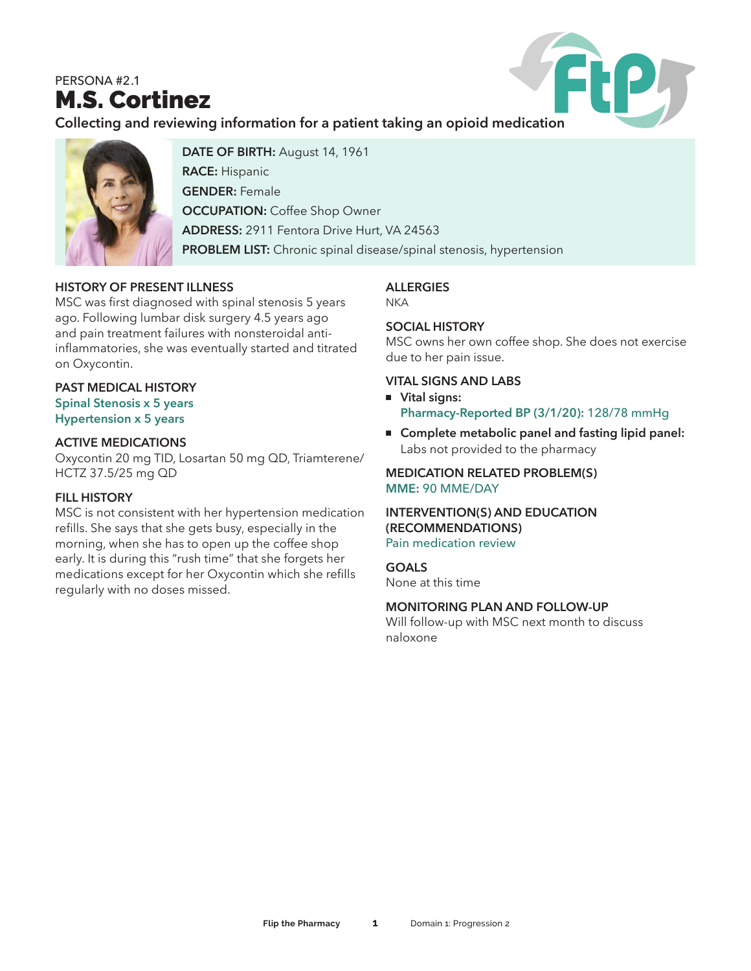# PERSONA #2.1 M.S. Cortinez



**Collecting and reviewing information for a patient taking an opioid medication**



**DATE OF BIRTH:** August 14, 1961 **RACE:** Hispanic **GENDER:** Female **OCCUPATION: Coffee Shop Owner ADDRESS:** 2911 Fentora Drive Hurt, VA 24563 **PROBLEM LIST:** Chronic spinal disease/spinal stenosis, hypertension

#### **HISTORY OF PRESENT ILLNESS**

MSC was first diagnosed with spinal stenosis 5 years ago. Following lumbar disk surgery 4.5 years ago and pain treatment failures with nonsteroidal antiinflammatories, she was eventually started and titrated on Oxycontin.

#### **PAST MEDICAL HISTORY Spinal Stenosis x 5 years Hypertension x 5 years**

#### **ACTIVE MEDICATIONS**

Oxycontin 20 mg TID, Losartan 50 mg QD, Triamterene/ HCTZ 37.5/25 mg QD

#### **FILL HISTORY**

MSC is not consistent with her hypertension medication refills. She says that she gets busy, especially in the morning, when she has to open up the coffee shop early. It is during this "rush time" that she forgets her medications except for her Oxycontin which she refills regularly with no doses missed.

## **ALLERGIES**

**NKA** 

#### **SOCIAL HISTORY**

MSC owns her own coffee shop. She does not exercise due to her pain issue.

#### **VITAL SIGNS AND LABS**

- <sup>n</sup> **Vital signs: Pharmacy-Reported BP (3/1/20):** 128/78 mmHg
- Complete metabolic panel and fasting lipid panel: Labs not provided to the pharmacy

**MEDICATION RELATED PROBLEM(S) MME:** 90 MME/DAY

**INTERVENTION(S) AND EDUCATION (RECOMMENDATIONS)**  Pain medication review

#### **GOALS**

None at this time

#### **MONITORING PLAN AND FOLLOW-UP**

Will follow-up with MSC next month to discuss naloxone